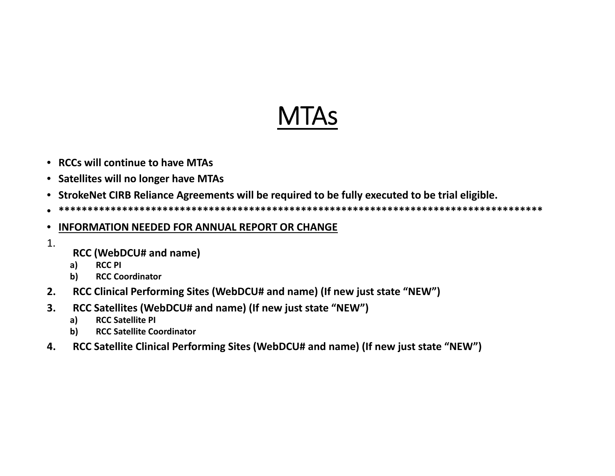## MTAs

- **RCCs will continue to have MTAs**
- **Satellites will no longer have MTAs**
- **StrokeNet CIRB Reliance Agreements will be required to be fully executed to be trial eligible.**
- •**\*\*\*\*\*\*\*\*\*\*\*\*\*\*\*\*\*\*\*\*\*\*\*\*\*\*\*\*\*\*\*\*\*\*\*\*\*\*\*\*\*\*\*\*\*\*\*\*\*\*\*\*\*\*\*\*\*\*\*\*\*\*\*\*\*\*\*\*\*\*\*\*\*\*\*\*\*\*\*\*\*\*\*\***

## $\bullet$ **INFORMATION NEEDED FOR ANNUAL REPORT OR CHANGE**

- 1.
- **RCC (WebDCU# and name)**
- **a) RCC PI**
- **b) RCC Coordinator**
- **2. RCC Clinical Performing Sites (WebDCU# and name) (If new just state "NEW")**
- **3. RCC Satellites (WebDCU# and name) (If new just state "NEW")**
	- **a) RCC Satellite PI**
	- **b) RCC Satellite Coordinator**
- **4. RCC Satellite Clinical Performing Sites (WebDCU# and name) (If new just state "NEW")**